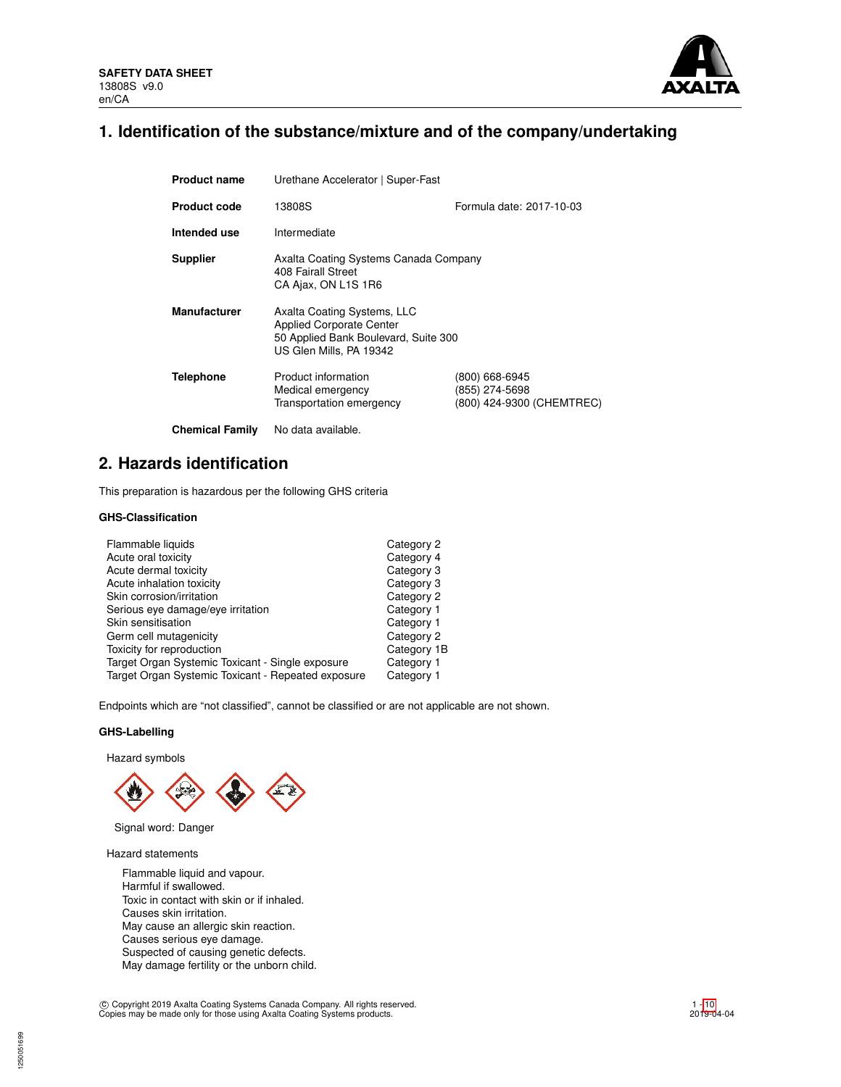

## **1. Identification of the substance/mixture and of the company/undertaking**

| <b>Product name</b>    | Urethane Accelerator   Super-Fast                                                                                                 |                                                               |  |  |  |
|------------------------|-----------------------------------------------------------------------------------------------------------------------------------|---------------------------------------------------------------|--|--|--|
| <b>Product code</b>    | 13808S                                                                                                                            | Formula date: 2017-10-03                                      |  |  |  |
| Intended use           | Intermediate                                                                                                                      |                                                               |  |  |  |
| <b>Supplier</b>        | Axalta Coating Systems Canada Company<br>408 Fairall Street<br>CA Ajax, ON L1S 1R6                                                |                                                               |  |  |  |
| <b>Manufacturer</b>    | Axalta Coating Systems, LLC<br><b>Applied Corporate Center</b><br>50 Applied Bank Boulevard, Suite 300<br>US Glen Mills, PA 19342 |                                                               |  |  |  |
| <b>Telephone</b>       | Product information<br>Medical emergency<br>Transportation emergency                                                              | (800) 668-6945<br>(855) 274-5698<br>(800) 424-9300 (CHEMTREC) |  |  |  |
| <b>Chemical Family</b> | No data available.                                                                                                                |                                                               |  |  |  |

**2. Hazards identification**

This preparation is hazardous per the following GHS criteria

## **GHS-Classification**

| Flammable liquids                                  | Category 2  |
|----------------------------------------------------|-------------|
| Acute oral toxicity                                | Category 4  |
| Acute dermal toxicity                              | Category 3  |
| Acute inhalation toxicity                          | Category 3  |
| Skin corrosion/irritation                          | Category 2  |
| Serious eye damage/eye irritation                  | Category 1  |
| Skin sensitisation                                 | Category 1  |
| Germ cell mutagenicity                             | Category 2  |
| Toxicity for reproduction                          | Category 1B |
| Target Organ Systemic Toxicant - Single exposure   | Category 1  |
| Target Organ Systemic Toxicant - Repeated exposure | Category 1  |

Endpoints which are "not classified", cannot be classified or are not applicable are not shown.

## **GHS-Labelling**

Hazard symbols



Signal word: Danger

Hazard statements

1250051699

Flammable liquid and vapour. Harmful if swallowed. Toxic in contact with skin or if inhaled. Causes skin irritation. May cause an allergic skin reaction. Causes serious eye damage. Suspected of causing genetic defects. May damage fertility or the unborn child.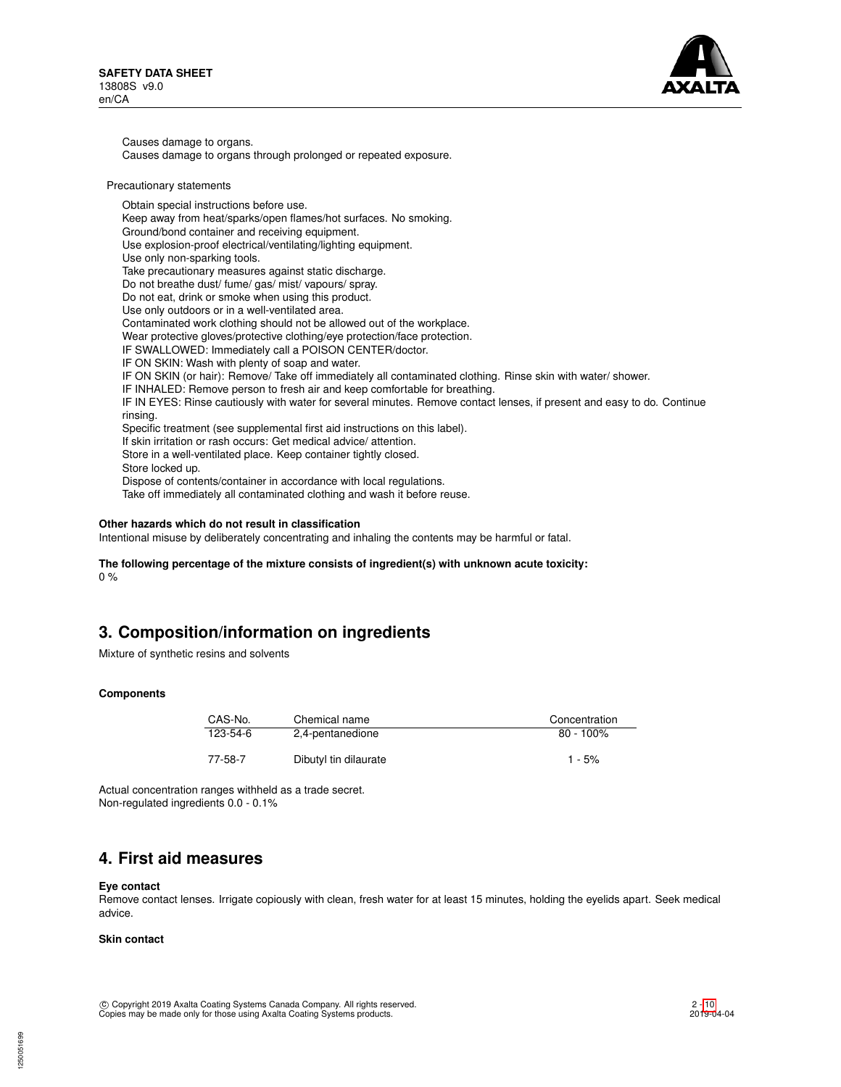

Causes damage to organs. Causes damage to organs through prolonged or repeated exposure.

#### Precautionary statements

Obtain special instructions before use. Keep away from heat/sparks/open flames/hot surfaces. No smoking. Ground/bond container and receiving equipment. Use explosion-proof electrical/ventilating/lighting equipment. Use only non-sparking tools. Take precautionary measures against static discharge. Do not breathe dust/ fume/ gas/ mist/ vapours/ spray. Do not eat, drink or smoke when using this product. Use only outdoors or in a well-ventilated area. Contaminated work clothing should not be allowed out of the workplace. Wear protective gloves/protective clothing/eye protection/face protection. IF SWALLOWED: Immediately call a POISON CENTER/doctor. IF ON SKIN: Wash with plenty of soap and water. IF ON SKIN (or hair): Remove/ Take off immediately all contaminated clothing. Rinse skin with water/ shower. IF INHALED: Remove person to fresh air and keep comfortable for breathing. IF IN EYES: Rinse cautiously with water for several minutes. Remove contact lenses, if present and easy to do. Continue rinsing. Specific treatment (see supplemental first aid instructions on this label). If skin irritation or rash occurs: Get medical advice/ attention. Store in a well-ventilated place. Keep container tightly closed. Store locked up. Dispose of contents/container in accordance with local regulations. Take off immediately all contaminated clothing and wash it before reuse.

## **Other hazards which do not result in classification**

Intentional misuse by deliberately concentrating and inhaling the contents may be harmful or fatal.

## **The following percentage of the mixture consists of ingredient(s) with unknown acute toxicity:** 0 %

## **3. Composition/information on ingredients**

Mixture of synthetic resins and solvents

## **Components**

| CAS-No.  | Chemical name         | Concentration |
|----------|-----------------------|---------------|
| 123-54-6 | 2,4-pentanedione      | $80 - 100\%$  |
| 77-58-7  | Dibutyl tin dilaurate | $1 - 5%$      |

Actual concentration ranges withheld as a trade secret. Non-regulated ingredients 0.0 - 0.1%

## **4. First aid measures**

#### **Eye contact**

Remove contact lenses. Irrigate copiously with clean, fresh water for at least 15 minutes, holding the eyelids apart. Seek medical advice.

### **Skin contact**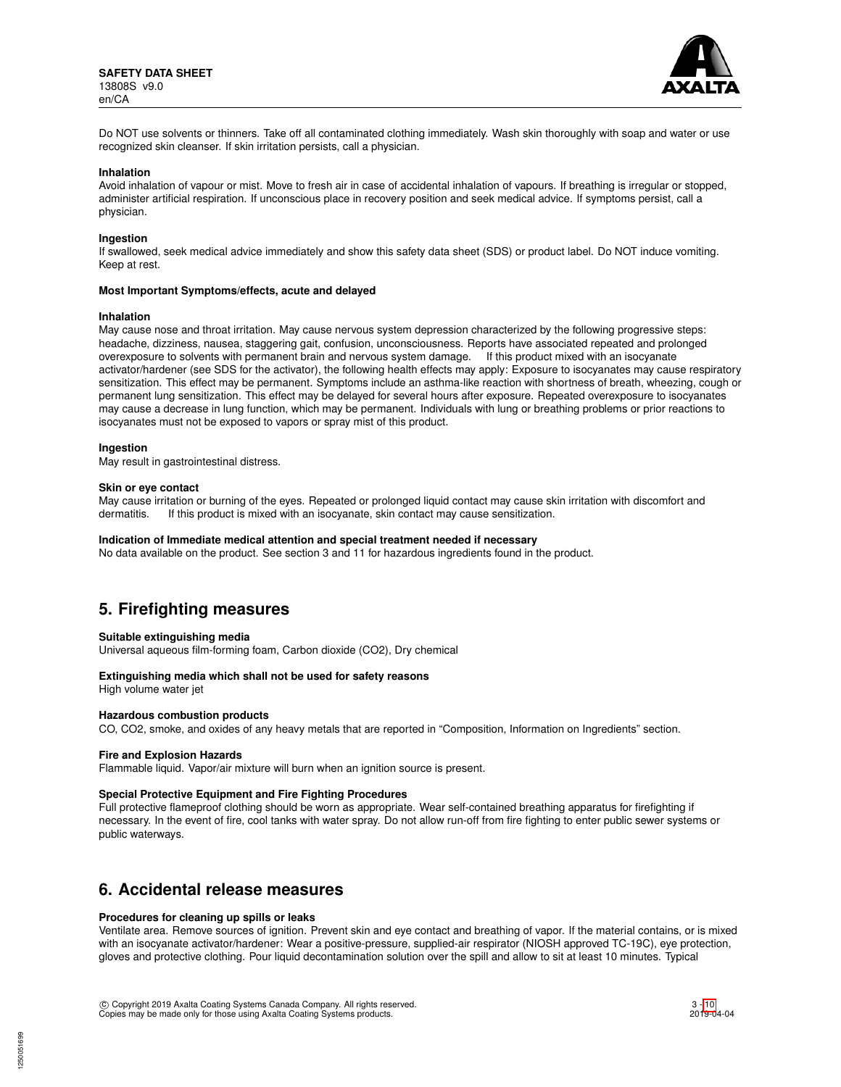

Do NOT use solvents or thinners. Take off all contaminated clothing immediately. Wash skin thoroughly with soap and water or use recognized skin cleanser. If skin irritation persists, call a physician.

#### **Inhalation**

Avoid inhalation of vapour or mist. Move to fresh air in case of accidental inhalation of vapours. If breathing is irregular or stopped, administer artificial respiration. If unconscious place in recovery position and seek medical advice. If symptoms persist, call a physician.

#### **Ingestion**

If swallowed, seek medical advice immediately and show this safety data sheet (SDS) or product label. Do NOT induce vomiting. Keep at rest.

#### **Most Important Symptoms/effects, acute and delayed**

#### **Inhalation**

May cause nose and throat irritation. May cause nervous system depression characterized by the following progressive steps: headache, dizziness, nausea, staggering gait, confusion, unconsciousness. Reports have associated repeated and prolonged overexposure to solvents with permanent brain and nervous system damage. If this product mixed with an isocyanate activator/hardener (see SDS for the activator), the following health effects may apply: Exposure to isocyanates may cause respiratory sensitization. This effect may be permanent. Symptoms include an asthma-like reaction with shortness of breath, wheezing, cough or permanent lung sensitization. This effect may be delayed for several hours after exposure. Repeated overexposure to isocyanates may cause a decrease in lung function, which may be permanent. Individuals with lung or breathing problems or prior reactions to isocyanates must not be exposed to vapors or spray mist of this product.

#### **Ingestion**

May result in gastrointestinal distress.

#### **Skin or eye contact**

May cause irritation or burning of the eyes. Repeated or prolonged liquid contact may cause skin irritation with discomfort and dermatitis. If this product is mixed with an isocyanate, skin contact may cause sensitization.

#### **Indication of Immediate medical attention and special treatment needed if necessary**

No data available on the product. See section 3 and 11 for hazardous ingredients found in the product.

## **5. Firefighting measures**

#### **Suitable extinguishing media**

Universal aqueous film-forming foam, Carbon dioxide (CO2), Dry chemical

## **Extinguishing media which shall not be used for safety reasons**

High volume water jet

## **Hazardous combustion products**

CO, CO2, smoke, and oxides of any heavy metals that are reported in "Composition, Information on Ingredients" section.

#### **Fire and Explosion Hazards**

Flammable liquid. Vapor/air mixture will burn when an ignition source is present.

#### **Special Protective Equipment and Fire Fighting Procedures**

Full protective flameproof clothing should be worn as appropriate. Wear self-contained breathing apparatus for firefighting if necessary. In the event of fire, cool tanks with water spray. Do not allow run-off from fire fighting to enter public sewer systems or public waterways.

## **6. Accidental release measures**

### **Procedures for cleaning up spills or leaks**

Ventilate area. Remove sources of ignition. Prevent skin and eye contact and breathing of vapor. If the material contains, or is mixed with an isocyanate activator/hardener: Wear a positive-pressure, supplied-air respirator (NIOSH approved TC-19C), eye protection, gloves and protective clothing. Pour liquid decontamination solution over the spill and allow to sit at least 10 minutes. Typical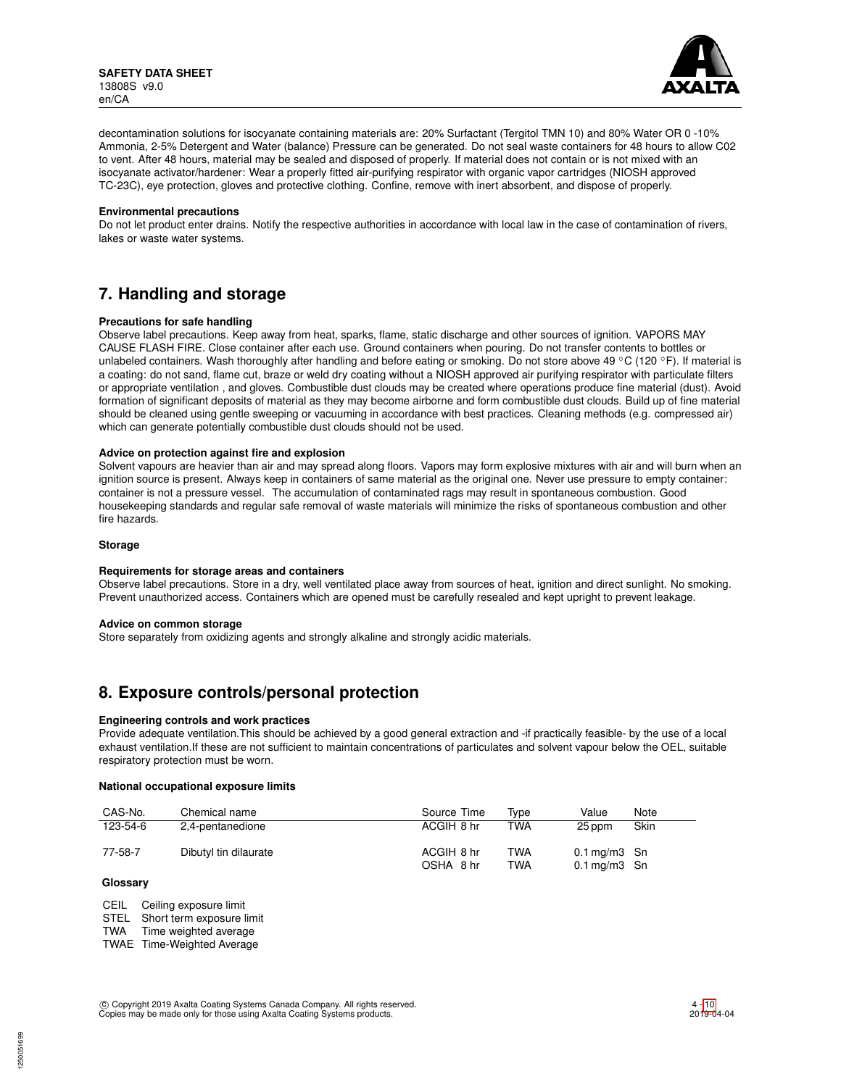

decontamination solutions for isocyanate containing materials are: 20% Surfactant (Tergitol TMN 10) and 80% Water OR 0 -10% Ammonia, 2-5% Detergent and Water (balance) Pressure can be generated. Do not seal waste containers for 48 hours to allow C02 to vent. After 48 hours, material may be sealed and disposed of properly. If material does not contain or is not mixed with an isocyanate activator/hardener: Wear a properly fitted air-purifying respirator with organic vapor cartridges (NIOSH approved TC-23C), eye protection, gloves and protective clothing. Confine, remove with inert absorbent, and dispose of properly.

#### **Environmental precautions**

Do not let product enter drains. Notify the respective authorities in accordance with local law in the case of contamination of rivers, lakes or waste water systems.

## **7. Handling and storage**

### **Precautions for safe handling**

Observe label precautions. Keep away from heat, sparks, flame, static discharge and other sources of ignition. VAPORS MAY CAUSE FLASH FIRE. Close container after each use. Ground containers when pouring. Do not transfer contents to bottles or unlabeled containers. Wash thoroughly after handling and before eating or smoking. Do not store above 49 °C (120 °F). If material is a coating: do not sand, flame cut, braze or weld dry coating without a NIOSH approved air purifying respirator with particulate filters or appropriate ventilation , and gloves. Combustible dust clouds may be created where operations produce fine material (dust). Avoid formation of significant deposits of material as they may become airborne and form combustible dust clouds. Build up of fine material should be cleaned using gentle sweeping or vacuuming in accordance with best practices. Cleaning methods (e.g. compressed air) which can generate potentially combustible dust clouds should not be used.

### **Advice on protection against fire and explosion**

Solvent vapours are heavier than air and may spread along floors. Vapors may form explosive mixtures with air and will burn when an ignition source is present. Always keep in containers of same material as the original one. Never use pressure to empty container: container is not a pressure vessel. The accumulation of contaminated rags may result in spontaneous combustion. Good housekeeping standards and regular safe removal of waste materials will minimize the risks of spontaneous combustion and other fire hazards.

### **Storage**

#### **Requirements for storage areas and containers**

Observe label precautions. Store in a dry, well ventilated place away from sources of heat, ignition and direct sunlight. No smoking. Prevent unauthorized access. Containers which are opened must be carefully resealed and kept upright to prevent leakage.

#### **Advice on common storage**

Store separately from oxidizing agents and strongly alkaline and strongly acidic materials.

## **8. Exposure controls/personal protection**

## **Engineering controls and work practices**

Provide adequate ventilation.This should be achieved by a good general extraction and -if practically feasible- by the use of a local exhaust ventilation.If these are not sufficient to maintain concentrations of particulates and solvent vapour below the OEL, suitable respiratory protection must be worn.

#### **National occupational exposure limits**

| CAS-No.  | Chemical name         | Source Time             | Tvpe       | Value                                                  | Note |
|----------|-----------------------|-------------------------|------------|--------------------------------------------------------|------|
| 123-54-6 | 2,4-pentanedione      | ACGIH 8 hr              | TWA        | 25 ppm                                                 | Skin |
| 77-58-7  | Dibutyl tin dilaurate | ACGIH 8 hr<br>OSHA 8 hr | TWA<br>TWA | $0.1 \,\mathrm{mq/m}3$ Sn<br>$0.1 \,\mathrm{mg/m3}$ Sn |      |

### **Glossary**

CEIL Ceiling exposure limit

STEL Short term exposure limit

TWA Time weighted average

TWAE Time-Weighted Average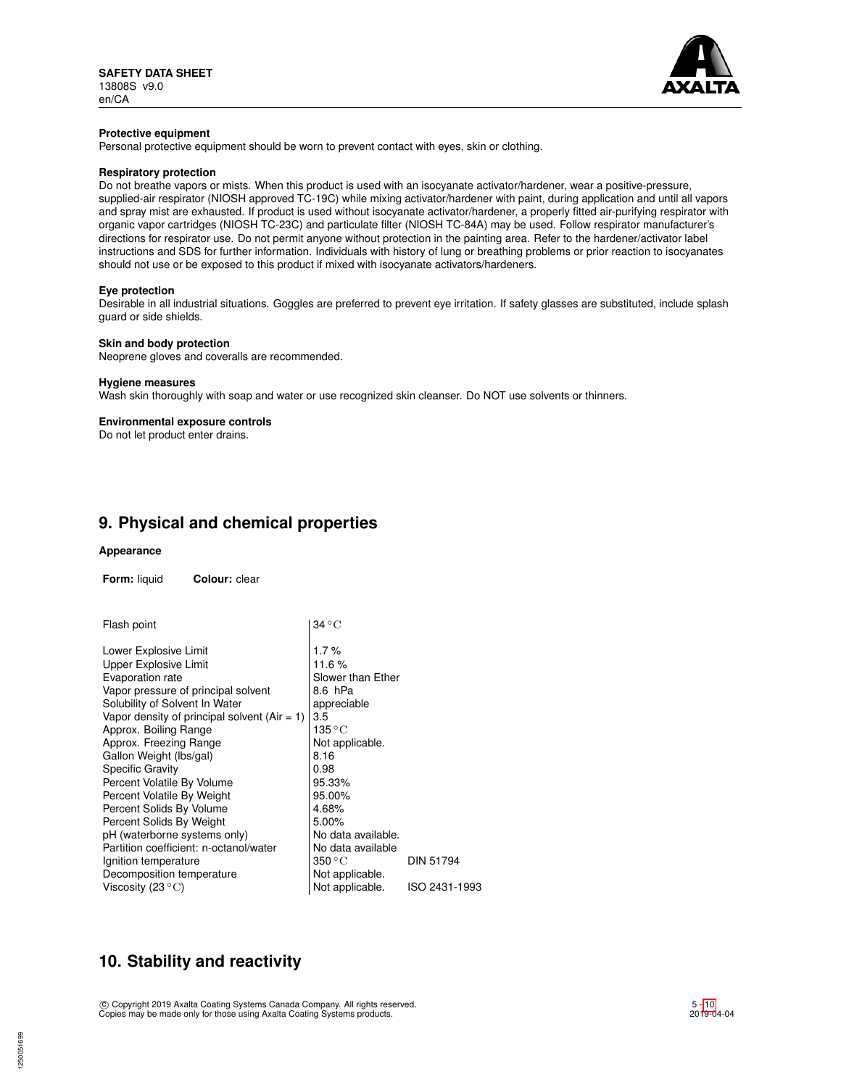

#### **Protective equipment**

Personal protective equipment should be worn to prevent contact with eyes, skin or clothing.

## **Respiratory protection**

Do not breathe vapors or mists. When this product is used with an isocyanate activator/hardener, wear a positive-pressure, supplied-air respirator (NIOSH approved TC-19C) while mixing activator/hardener with paint, during application and until all vapors and spray mist are exhausted. If product is used without isocyanate activator/hardener, a properly fitted air-purifying respirator with organic vapor cartridges (NIOSH TC-23C) and particulate filter (NIOSH TC-84A) may be used. Follow respirator manufacturer's directions for respirator use. Do not permit anyone without protection in the painting area. Refer to the hardener/activator label instructions and SDS for further information. Individuals with history of lung or breathing problems or prior reaction to isocyanates should not use or be exposed to this product if mixed with isocyanate activators/hardeners.

#### **Eye protection**

Desirable in all industrial situations. Goggles are preferred to prevent eye irritation. If safety glasses are substituted, include splash guard or side shields.

#### **Skin and body protection**

Neoprene gloves and coveralls are recommended.

## **Hygiene measures**

Wash skin thoroughly with soap and water or use recognized skin cleanser. Do NOT use solvents or thinners.

#### **Environmental exposure controls**

Do not let product enter drains.

## **9. Physical and chemical properties**

## **Appearance**

**Form:** liquid **Colour:** clear

| Flash point                                    | $34\,^{\circ}\mathrm{C}$ |                  |
|------------------------------------------------|--------------------------|------------------|
| Lower Explosive Limit                          | 1.7%                     |                  |
| Upper Explosive Limit                          | 11.6%                    |                  |
| Evaporation rate                               | Slower than Ether        |                  |
| Vapor pressure of principal solvent            | 8.6 hPa                  |                  |
| Solubility of Solvent In Water                 | appreciable              |                  |
| Vapor density of principal solvent $(Air = 1)$ | 3.5                      |                  |
| Approx. Boiling Range                          | 135 $^{\circ}{\rm C}$    |                  |
| Approx. Freezing Range                         | Not applicable.          |                  |
| Gallon Weight (lbs/gal)                        | 8.16                     |                  |
| <b>Specific Gravity</b>                        | 0.98                     |                  |
| Percent Volatile By Volume                     | 95.33%                   |                  |
| Percent Volatile By Weight                     | 95.00%                   |                  |
| Percent Solids By Volume                       | 4.68%                    |                  |
| Percent Solids By Weight                       | 5.00%                    |                  |
| pH (waterborne systems only)                   | No data available.       |                  |
| Partition coefficient: n-octanol/water         | No data available        |                  |
| Ignition temperature                           | 350 °C                   | <b>DIN 51794</b> |
| Decomposition temperature                      | Not applicable.          |                  |
| Viscosity (23 $\mathrm{^{\circ}C}$ )           | Not applicable.          | ISO 2431-1993    |

## **10. Stability and reactivity**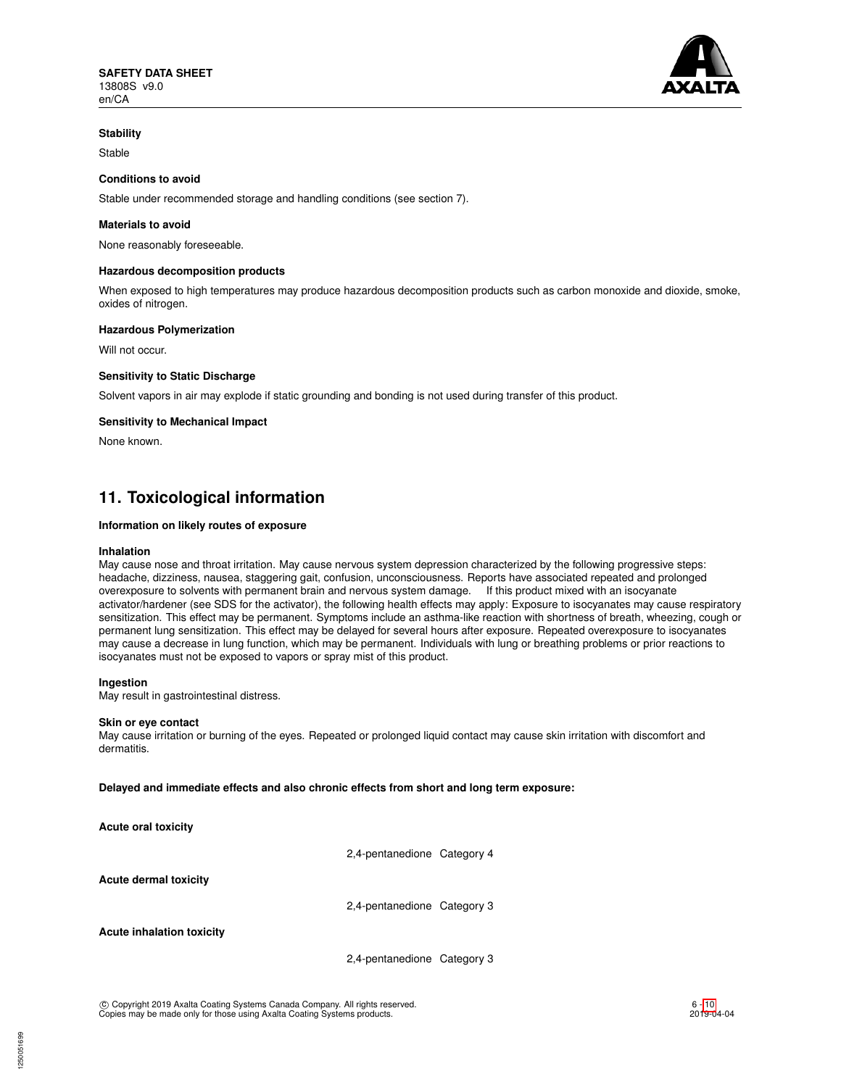

## **Stability**

Stable

## **Conditions to avoid**

Stable under recommended storage and handling conditions (see section 7).

## **Materials to avoid**

None reasonably foreseeable.

### **Hazardous decomposition products**

When exposed to high temperatures may produce hazardous decomposition products such as carbon monoxide and dioxide, smoke, oxides of nitrogen.

#### **Hazardous Polymerization**

Will not occur.

### **Sensitivity to Static Discharge**

Solvent vapors in air may explode if static grounding and bonding is not used during transfer of this product.

### **Sensitivity to Mechanical Impact**

None known.

## **11. Toxicological information**

### **Information on likely routes of exposure**

#### **Inhalation**

May cause nose and throat irritation. May cause nervous system depression characterized by the following progressive steps: headache, dizziness, nausea, staggering gait, confusion, unconsciousness. Reports have associated repeated and prolonged overexposure to solvents with permanent brain and nervous system damage. If this product mixed with an isocyanate activator/hardener (see SDS for the activator), the following health effects may apply: Exposure to isocyanates may cause respiratory sensitization. This effect may be permanent. Symptoms include an asthma-like reaction with shortness of breath, wheezing, cough or permanent lung sensitization. This effect may be delayed for several hours after exposure. Repeated overexposure to isocyanates may cause a decrease in lung function, which may be permanent. Individuals with lung or breathing problems or prior reactions to isocyanates must not be exposed to vapors or spray mist of this product.

#### **Ingestion**

May result in gastrointestinal distress.

#### **Skin or eye contact**

May cause irritation or burning of the eyes. Repeated or prolonged liquid contact may cause skin irritation with discomfort and dermatitis.

**Delayed and immediate effects and also chronic effects from short and long term exposure:**

**Acute oral toxicity**

2,4-pentanedione Category 4

**Acute dermal toxicity**

2,4-pentanedione Category 3

**Acute inhalation toxicity**

1250051699

2,4-pentanedione Category 3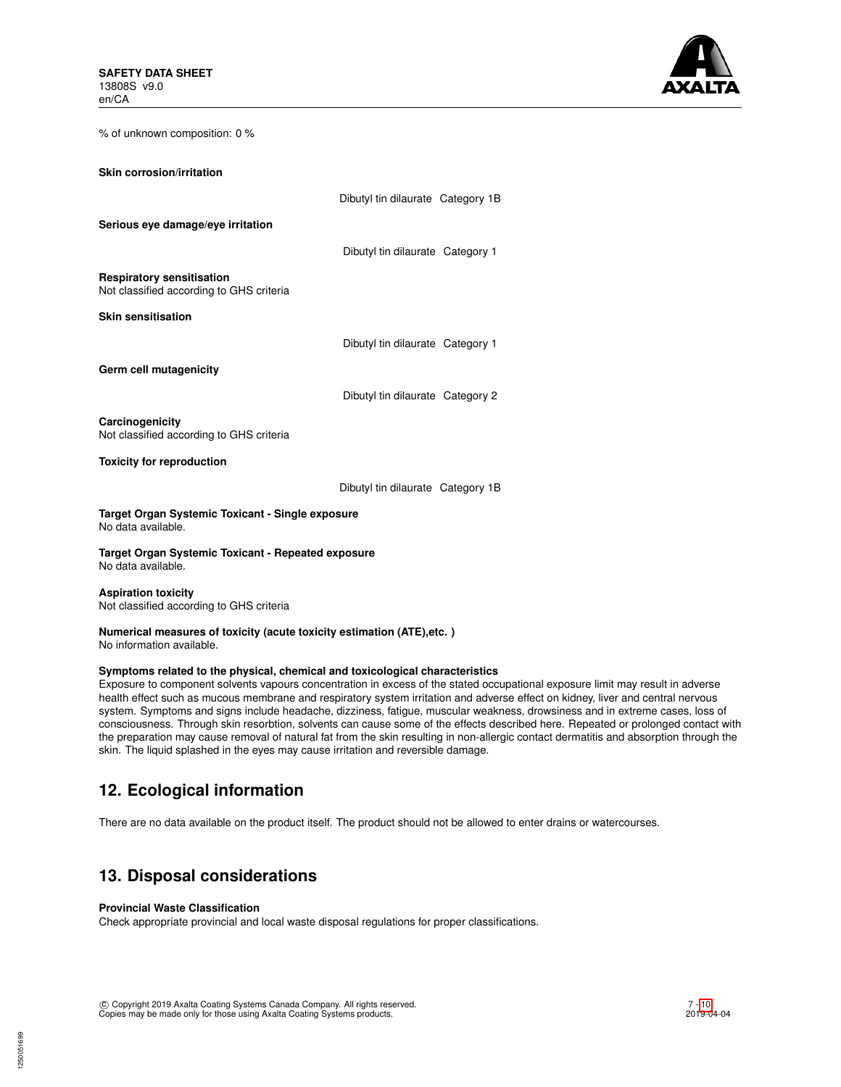

% of unknown composition: 0 %

| Skin corrosion/irritation                                                    |                                   |  |
|------------------------------------------------------------------------------|-----------------------------------|--|
|                                                                              | Dibutyl tin dilaurate Category 1B |  |
| Serious eye damage/eye irritation                                            |                                   |  |
|                                                                              | Dibutyl tin dilaurate Category 1  |  |
| <b>Respiratory sensitisation</b><br>Not classified according to GHS criteria |                                   |  |
| Skin sensitisation                                                           |                                   |  |
|                                                                              | Dibutyl tin dilaurate Category 1  |  |
| Germ cell mutagenicity                                                       |                                   |  |
|                                                                              | Dibutyl tin dilaurate Category 2  |  |
| Carcinogenicity<br>Not classified according to GHS criteria                  |                                   |  |
| <b>Toxicity for reproduction</b>                                             |                                   |  |
|                                                                              | Dibutyl tin dilaurate Category 1B |  |
| Target Organ Systemic Toxicant - Single exposure                             |                                   |  |

No data available.

**Target Organ Systemic Toxicant - Repeated exposure** No data available.

**Aspiration toxicity** Not classified according to GHS criteria

### **Numerical measures of toxicity (acute toxicity estimation (ATE),etc. )** No information available.

## **Symptoms related to the physical, chemical and toxicological characteristics**

Exposure to component solvents vapours concentration in excess of the stated occupational exposure limit may result in adverse health effect such as mucous membrane and respiratory system irritation and adverse effect on kidney, liver and central nervous system. Symptoms and signs include headache, dizziness, fatigue, muscular weakness, drowsiness and in extreme cases, loss of consciousness. Through skin resorbtion, solvents can cause some of the effects described here. Repeated or prolonged contact with the preparation may cause removal of natural fat from the skin resulting in non-allergic contact dermatitis and absorption through the skin. The liquid splashed in the eyes may cause irritation and reversible damage.

# **12. Ecological information**

There are no data available on the product itself. The product should not be allowed to enter drains or watercourses.

# **13. Disposal considerations**

## **Provincial Waste Classification**

Check appropriate provincial and local waste disposal regulations for proper classifications.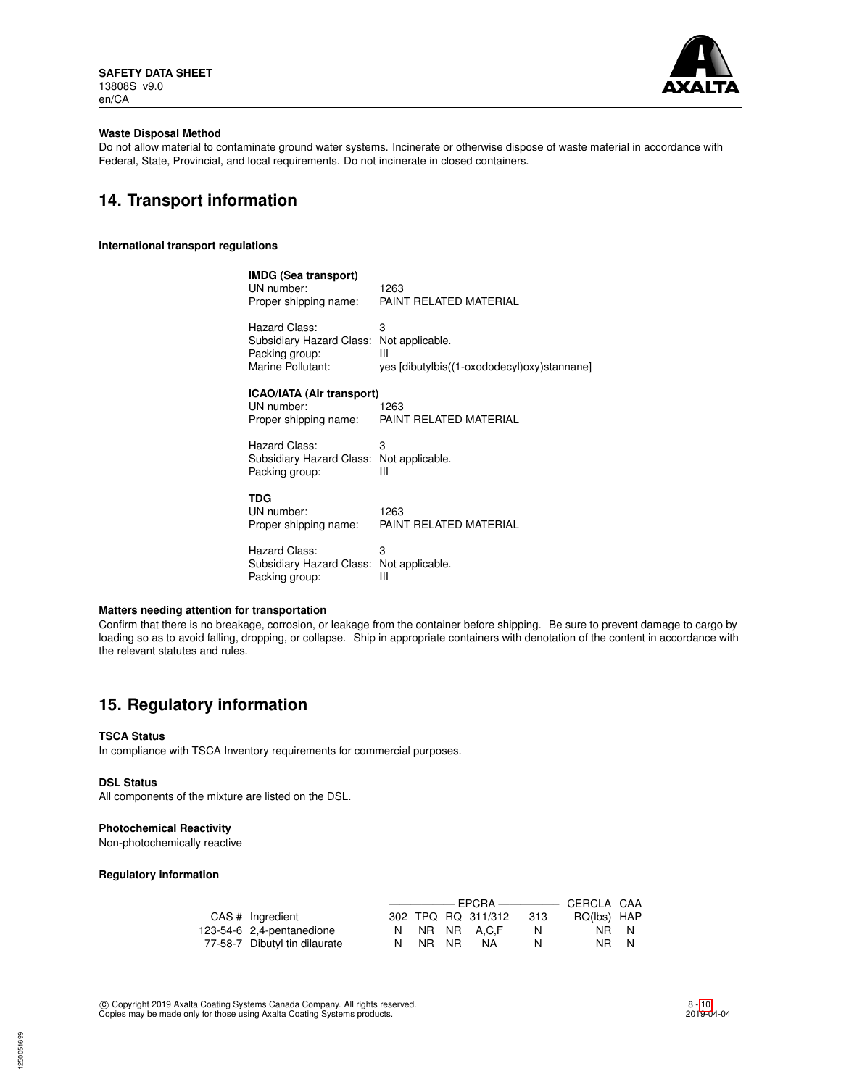

## **Waste Disposal Method**

Do not allow material to contaminate ground water systems. Incinerate or otherwise dispose of waste material in accordance with Federal, State, Provincial, and local requirements. Do not incinerate in closed containers.

## **14. Transport information**

### **International transport regulations**

| <b>IMDG (Sea transport)</b>              |                                             |
|------------------------------------------|---------------------------------------------|
| UN number:                               | 1263                                        |
| Proper shipping name:                    | PAINT REI ATED MATERIAI                     |
| Hazard Class:                            | 3                                           |
| Subsidiary Hazard Class:                 | Not applicable.                             |
| Packing group:                           | Ш                                           |
|                                          |                                             |
| Marine Pollutant:                        | yes [dibutylbis((1-oxododecyl)oxy)stannane] |
| <b>ICAO/IATA (Air transport)</b>         |                                             |
| UN number:                               | 1263                                        |
| Proper shipping name:                    | PAINT RELATED MATERIAL                      |
|                                          |                                             |
| Hazard Class:                            | з                                           |
| Subsidiary Hazard Class: Not applicable. |                                             |
| Packing group:                           | Ш                                           |
|                                          |                                             |
| TDG                                      |                                             |
|                                          |                                             |

UN number: 1263<br>Proper shipping name: PAINT RELATED MATERIAL Proper shipping name:

Hazard Class: 3 Subsidiary Hazard Class: Not applicable.<br>Packing group: III Packing group:

## **Matters needing attention for transportation**

Confirm that there is no breakage, corrosion, or leakage from the container before shipping. Be sure to prevent damage to cargo by loading so as to avoid falling, dropping, or collapse. Ship in appropriate containers with denotation of the content in accordance with the relevant statutes and rules.

## **15. Regulatory information**

## **TSCA Status**

In compliance with TSCA Inventory requirements for commercial purposes.

#### **DSL Status**

All components of the mixture are listed on the DSL.

## **Photochemical Reactivity**

Non-photochemically reactive

### **Regulatory information**

| CAS # Ingredient              |       | 302 TPQ RQ 311/312 | - 313 | RQ(lbs) HAP |  |
|-------------------------------|-------|--------------------|-------|-------------|--|
| 123-54-6 2,4-pentanedione     |       | N NR NR A.C.F      | N.    | NR N        |  |
| 77-58-7 Dibutyl tin dilaurate | NR NR | NA                 | N.    | NR N        |  |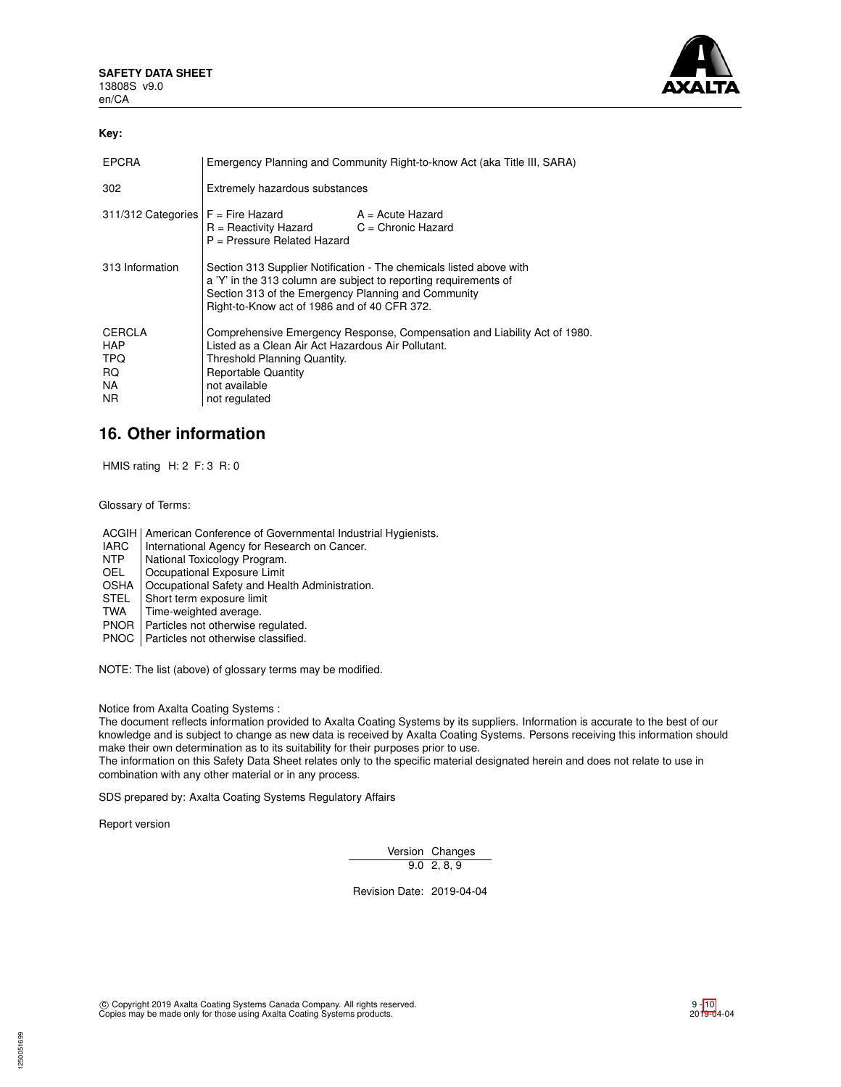

## **Key:**

| <b>EPCRA</b>                                     | Emergency Planning and Community Right-to-know Act (aka Title III, SARA)                                                                                                                                                                       |                  |  |
|--------------------------------------------------|------------------------------------------------------------------------------------------------------------------------------------------------------------------------------------------------------------------------------------------------|------------------|--|
| 302                                              | Extremely hazardous substances                                                                                                                                                                                                                 |                  |  |
|                                                  | $311/312$ Categories $F =$ Fire Hazard<br>$R =$ Reactivity Hazard $C =$ Chronic Hazard<br>$P =$ Pressure Related Hazard                                                                                                                        | A = Acute Hazard |  |
| 313 Information                                  | Section 313 Supplier Notification - The chemicals listed above with<br>a 'Y' in the 313 column are subject to reporting requirements of<br>Section 313 of the Emergency Planning and Community<br>Right-to-Know act of 1986 and of 40 CFR 372. |                  |  |
| CERCLA<br><b>HAP</b><br>TPQ<br>RQ.<br>NA.<br>NR. | Comprehensive Emergency Response, Compensation and Liability Act of 1980.<br>Listed as a Clean Air Act Hazardous Air Pollutant.<br>Threshold Planning Quantity.<br><b>Reportable Quantity</b><br>not available<br>not regulated                |                  |  |

## **16. Other information**

HMIS rating H: 2 F: 3 R: 0

Glossary of Terms:

ACGIH | American Conference of Governmental Industrial Hygienists.

- IARC | International Agency for Research on Cancer.<br>
NTP | National Toxicology Program.
- NTP National Toxicology Program.<br>OEL Cocupational Exposure Limit
- Occupational Exposure Limit
- OSHA | Occupational Safety and Health Administration.<br>STEL | Short term exposure limit
- STEL Short term exposure limit<br>TWA Time-weighted average.
- Time-weighted average.
- PNOR | Particles not otherwise regulated.

PNOC Particles not otherwise classified.

NOTE: The list (above) of glossary terms may be modified.

Notice from Axalta Coating Systems :

The document reflects information provided to Axalta Coating Systems by its suppliers. Information is accurate to the best of our knowledge and is subject to change as new data is received by Axalta Coating Systems. Persons receiving this information should make their own determination as to its suitability for their purposes prior to use.

The information on this Safety Data Sheet relates only to the specific material designated herein and does not relate to use in combination with any other material or in any process.

SDS prepared by: Axalta Coating Systems Regulatory Affairs

Report version

1250051699

Version Changes  $9.0 \t2, 8, 9$ 

Revision Date: 2019-04-04